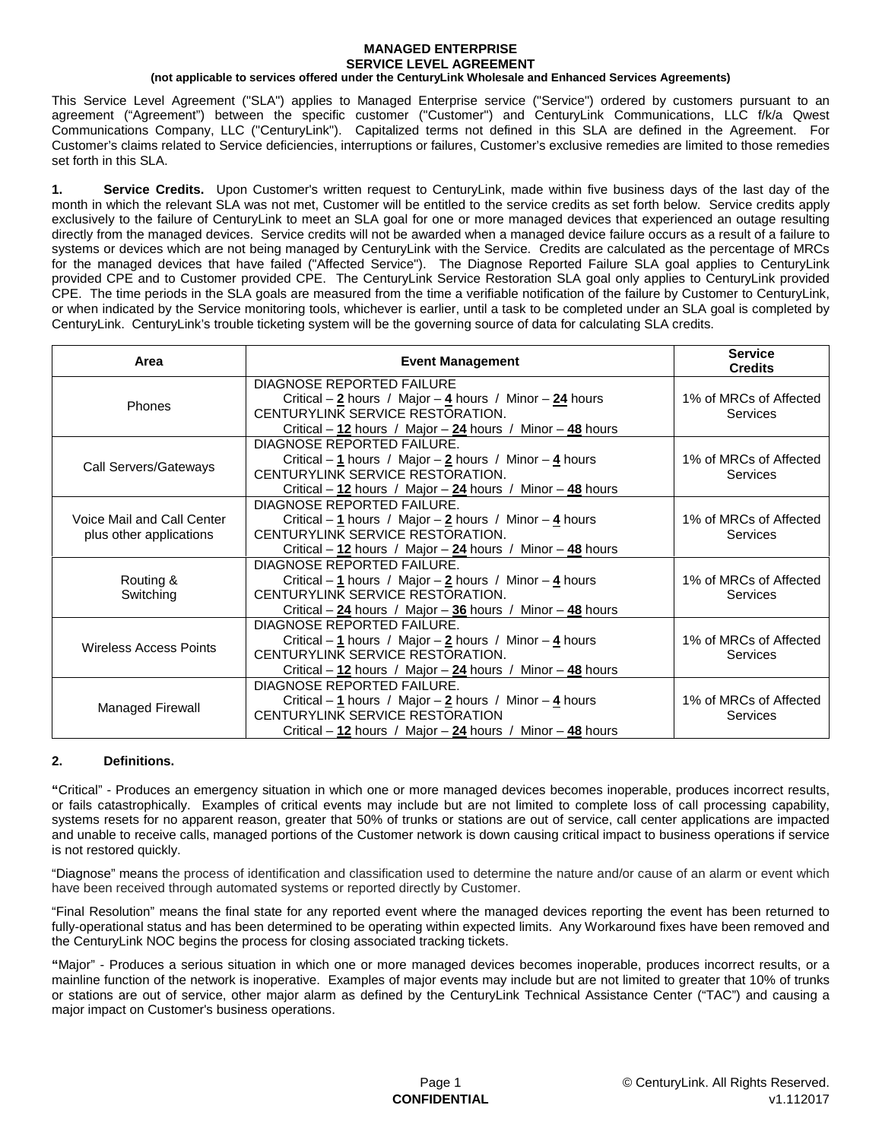## **MANAGED ENTERPRISE SERVICE LEVEL AGREEMENT**

### **(not applicable to services offered under the CenturyLink Wholesale and Enhanced Services Agreements)**

This Service Level Agreement ("SLA") applies to Managed Enterprise service ("Service") ordered by customers pursuant to an agreement ("Agreement") between the specific customer ("Customer") and CenturyLink Communications, LLC f/k/a Qwest Communications Company, LLC ("CenturyLink"). Capitalized terms not defined in this SLA are defined in the Agreement. For Customer's claims related to Service deficiencies, interruptions or failures, Customer's exclusive remedies are limited to those remedies set forth in this SLA.

**1. Service Credits.** Upon Customer's written request to CenturyLink, made within five business days of the last day of the month in which the relevant SLA was not met, Customer will be entitled to the service credits as set forth below. Service credits apply exclusively to the failure of CenturyLink to meet an SLA goal for one or more managed devices that experienced an outage resulting directly from the managed devices. Service credits will not be awarded when a managed device failure occurs as a result of a failure to systems or devices which are not being managed by CenturyLink with the Service. Credits are calculated as the percentage of MRCs for the managed devices that have failed ("Affected Service"). The Diagnose Reported Failure SLA goal applies to CenturyLink provided CPE and to Customer provided CPE. The CenturyLink Service Restoration SLA goal only applies to CenturyLink provided CPE. The time periods in the SLA goals are measured from the time a verifiable notification of the failure by Customer to CenturyLink, or when indicated by the Service monitoring tools, whichever is earlier, until a task to be completed under an SLA goal is completed by CenturyLink. CenturyLink's trouble ticketing system will be the governing source of data for calculating SLA credits.

| Area                                                  | <b>Event Management</b>                                                                                                                                                                                  | <b>Service</b><br><b>Credits</b>   |
|-------------------------------------------------------|----------------------------------------------------------------------------------------------------------------------------------------------------------------------------------------------------------|------------------------------------|
| <b>Phones</b>                                         | <b>DIAGNOSE REPORTED FAILURE</b><br>Critical – $2$ hours / Major – $4$ hours / Minor – $24$ hours<br>CENTURYLINK SERVICE RESTORATION.<br>Critical – $12$ hours / Major – $24$ hours / Minor – $48$ hours | 1% of MRCs of Affected<br>Services |
| Call Servers/Gateways                                 | DIAGNOSE REPORTED FAILURE.<br>Critical – 1 hours / Major – 2 hours / Minor – 4 hours<br>CENTURYLINK SERVICE RESTORATION.<br>Critical – 12 hours / Major – 24 hours / Minor – 48 hours                    | 1% of MRCs of Affected<br>Services |
| Voice Mail and Call Center<br>plus other applications | DIAGNOSE REPORTED FAILURE.<br>Critical – 1 hours / Major – $2$ hours / Minor – $4$ hours<br>CENTURYLINK SERVICE RESTORATION.<br>Critical – 12 hours / Major – 24 hours / Minor – 48 hours                | 1% of MRCs of Affected<br>Services |
| Routing &<br>Switching                                | DIAGNOSE REPORTED FAILURE.<br>Critical – 1 hours / Major – 2 hours / Minor – 4 hours<br>CENTURYLINK SERVICE RESTORATION.<br>Critical – $24$ hours / Major – $36$ hours / Minor – $48$ hours              | 1% of MRCs of Affected<br>Services |
| Wireless Access Points                                | DIAGNOSE REPORTED FAILURE.<br>Critical – 1 hours / Major – 2 hours / Minor – 4 hours<br>CENTURYLINK SERVICE RESTORATION.<br>Critical $-12$ hours / Major $-24$ hours / Minor $-48$ hours                 | 1% of MRCs of Affected<br>Services |
| Managed Firewall                                      | DIAGNOSE REPORTED FAILURE.<br>Critical – 1 hours / Major – 2 hours / Minor – 4 hours<br>CENTURYLINK SERVICE RESTORATION<br>Critical – $12$ hours / Major – $24$ hours / Minor – $48$ hours               | 1% of MRCs of Affected<br>Services |

# **2. Definitions.**

**"**Critical" - Produces an emergency situation in which one or more managed devices becomes inoperable, produces incorrect results, or fails catastrophically. Examples of critical events may include but are not limited to complete loss of call processing capability, systems resets for no apparent reason, greater that 50% of trunks or stations are out of service, call center applications are impacted and unable to receive calls, managed portions of the Customer network is down causing critical impact to business operations if service is not restored quickly.

"Diagnose" means the process of identification and classification used to determine the nature and/or cause of an alarm or event which have been received through automated systems or reported directly by Customer.

"Final Resolution" means the final state for any reported event where the managed devices reporting the event has been returned to fully-operational status and has been determined to be operating within expected limits. Any Workaround fixes have been removed and the CenturyLink NOC begins the process for closing associated tracking tickets.

**"**Major" - Produces a serious situation in which one or more managed devices becomes inoperable, produces incorrect results, or a mainline function of the network is inoperative. Examples of major events may include but are not limited to greater that 10% of trunks or stations are out of service, other major alarm as defined by the CenturyLink Technical Assistance Center ("TAC") and causing a major impact on Customer's business operations.